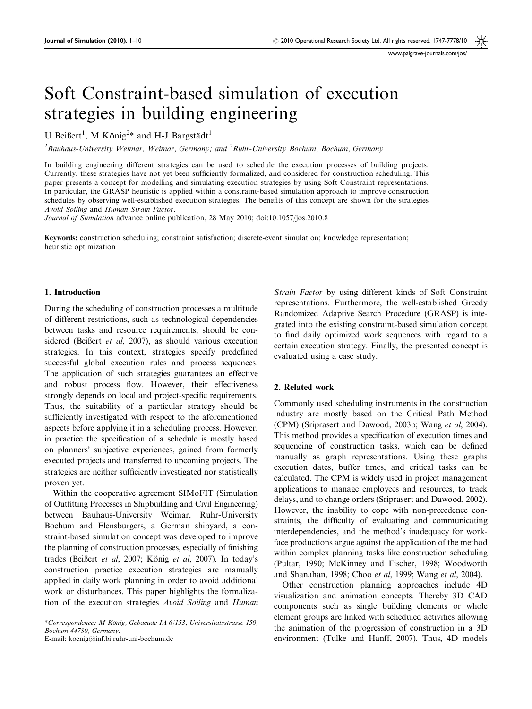www.palgrave-journals.com/jos/

# Soft Constraint-based simulation of execution strategies in building engineering

U Beißert<sup>1</sup>, M König<sup>2\*</sup> and H-J Bargstädt<sup>1</sup>

<sup>1</sup> Bauhaus-University Weimar, Weimar, Germany; and <sup>2</sup> Ruhr-University Bochum, Bochum, Germany

In building engineering different strategies can be used to schedule the execution processes of building projects. Currently, these strategies have not yet been sufficiently formalized, and considered for construction scheduling. This paper presents a concept for modelling and simulating execution strategies by using Soft Constraint representations. In particular, the GRASP heuristic is applied within a constraint-based simulation approach to improve construction schedules by observing well-established execution strategies. The benefits of this concept are shown for the strategies Avoid Soiling and Human Strain Factor.

Journal of Simulation advance online publication, 28 May 2010; doi:10.1057/jos.2010.8

Keywords: construction scheduling; constraint satisfaction; discrete-event simulation; knowledge representation; heuristic optimization

## 1. Introduction

During the scheduling of construction processes a multitude of different restrictions, such as technological dependencies between tasks and resource requirements, should be considered (Beißert et al, 2007), as should various execution strategies. In this context, strategies specify predefined successful global execution rules and process sequences. The application of such strategies guarantees an effective and robust process flow. However, their effectiveness strongly depends on local and project-specific requirements. Thus, the suitability of a particular strategy should be sufficiently investigated with respect to the aforementioned aspects before applying it in a scheduling process. However, in practice the specification of a schedule is mostly based on planners' subjective experiences, gained from formerly executed projects and transferred to upcoming projects. The strategies are neither sufficiently investigated nor statistically proven yet.

Within the cooperative agreement SIMoFIT (Simulation of Outfitting Processes in Shipbuilding and Civil Engineering) between Bauhaus-University Weimar, Ruhr-University Bochum and Flensburgers, a German shipyard, a constraint-based simulation concept was developed to improve the planning of construction processes, especially of finishing trades (Beißert et al, 2007; König et al, 2007). In today's construction practice execution strategies are manually applied in daily work planning in order to avoid additional work or disturbances. This paper highlights the formalization of the execution strategies Avoid Soiling and Human

E-mail: koenig@inf.bi.ruhr-uni-bochum.de

Strain Factor by using different kinds of Soft Constraint representations. Furthermore, the well-established Greedy Randomized Adaptive Search Procedure (GRASP) is integrated into the existing constraint-based simulation concept to find daily optimized work sequences with regard to a certain execution strategy. Finally, the presented concept is evaluated using a case study.

## 2. Related work

Commonly used scheduling instruments in the construction industry are mostly based on the Critical Path Method (CPM) (Sriprasert and Dawood, 2003b; Wang et al, 2004). This method provides a specification of execution times and sequencing of construction tasks, which can be defined manually as graph representations. Using these graphs execution dates, buffer times, and critical tasks can be calculated. The CPM is widely used in project management applications to manage employees and resources, to track delays, and to change orders (Sriprasert and Dawood, 2002). However, the inability to cope with non-precedence constraints, the difficulty of evaluating and communicating interdependencies, and the method's inadequacy for workface productions argue against the application of the method within complex planning tasks like construction scheduling (Pultar, 1990; McKinney and Fischer, 1998; Woodworth and Shanahan, 1998; Choo et al, 1999; Wang et al, 2004).

Other construction planning approaches include 4D visualization and animation concepts. Thereby 3D CAD components such as single building elements or whole element groups are linked with scheduled activities allowing the animation of the progression of construction in a 3D environment (Tulke and Hanff, 2007). Thus, 4D models

<sup>\*</sup>Correspondence: M König, Gebaeude IA 6/153, Universitatsstrasse 150, Bochum 44780, Germany.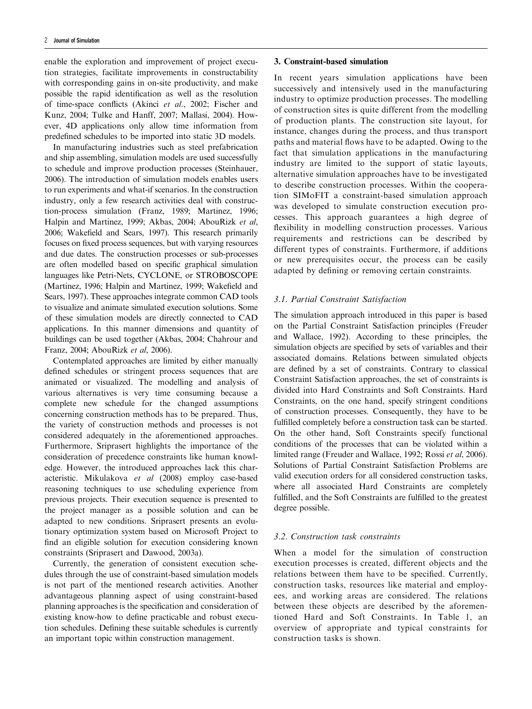enable the exploration and improvement of project execution strategies, facilitate improvements in constructability with corresponding gains in on-site productivity, and make possible the rapid identification as well as the resolution of time-space conflicts (Akinci et al., 2002; Fischer and Kunz, 2004; Tulke and Hanff, 2007; Mallasi, 2004). However, 4D applications only allow time information from predefined schedules to be imported into static 3D models.

In manufacturing industries such as steel prefabrication and ship assembling, simulation models are used successfully to schedule and improve production processes (Steinhauer, 2006). The introduction of simulation models enables users to run experiments and what-if scenarios. In the construction industry, only a few research activities deal with construction-process simulation (Franz, 1989; Martinez, 1996; Halpin and Martinez, 1999; Akbas, 2004; AbouRizk et al, 2006; Wakefield and Sears, 1997). This research primarily focuses on fixed process sequences, but with varying resources and due dates. The construction processes or sub-processes are often modelled based on specific graphical simulation languages like Petri-Nets, CYCLONE, or STROBOSCOPE (Martinez, 1996; Halpin and Martinez, 1999; Wakefield and Sears, 1997). These approaches integrate common CAD tools to visualize and animate simulated execution solutions. Some of these simulation models are directly connected to CAD applications. In this manner dimensions and quantity of buildings can be used together (Akbas, 2004; Chahrour and Franz, 2004; AbouRizk et al, 2006).

Contemplated approaches are limited by either manually defined schedules or stringent process sequences that are animated or visualized. The modelling and analysis of various alternatives is very time consuming because a complete new schedule for the changed assumptions concerning construction methods has to be prepared. Thus, the variety of construction methods and processes is not considered adequately in the aforementioned approaches. Furthermore, Sriprasert highlights the importance of the consideration of precedence constraints like human knowledge. However, the introduced approaches lack this characteristic. Mikulakova et al (2008) employ case-based reasoning techniques to use scheduling experience from previous projects. Their execution sequence is presented to the project manager as a possible solution and can be adapted to new conditions. Sriprasert presents an evolutionary optimization system based on Microsoft Project to find an eligible solution for execution considering known constraints (Sriprasert and Dawood, 2003a).

Currently, the generation of consistent execution schedules through the use of constraint-based simulation models is not part of the mentioned research activities. Another advantageous planning aspect of using constraint-based planning approaches is the specification and consideration of existing know-how to define practicable and robust execution schedules. Defining these suitable schedules is currently an important topic within construction management.

## 3. Constraint-based simulation

In recent years simulation applications have been successively and intensively used in the manufacturing industry to optimize production processes. The modelling of construction sites is quite different from the modelling of production plants. The construction site layout, for instance, changes during the process, and thus transport paths and material flows have to be adapted. Owing to the fact that simulation applications in the manufacturing industry are limited to the support of static layouts, alternative simulation approaches have to be investigated to describe construction processes. Within the cooperation SIMoFIT a constraint-based simulation approach was developed to simulate construction execution processes. This approach guarantees a high degree of flexibility in modelling construction processes. Various requirements and restrictions can be described by different types of constraints. Furthermore, if additions or new prerequisites occur, the process can be easily adapted by defining or removing certain constraints.

# 3.1. Partial Constraint Satisfaction

The simulation approach introduced in this paper is based on the Partial Constraint Satisfaction principles (Freuder and Wallace, 1992). According to these principles, the simulation objects are specified by sets of variables and their associated domains. Relations between simulated objects are defined by a set of constraints. Contrary to classical Constraint Satisfaction approaches, the set of constraints is divided into Hard Constraints and Soft Constraints. Hard Constraints, on the one hand, specify stringent conditions of construction processes. Consequently, they have to be fulfilled completely before a construction task can be started. On the other hand, Soft Constraints specify functional conditions of the processes that can be violated within a limited range (Freuder and Wallace, 1992; Rossi et al, 2006). Solutions of Partial Constraint Satisfaction Problems are valid execution orders for all considered construction tasks, where all associated Hard Constraints are completely fulfilled, and the Soft Constraints are fulfilled to the greatest degree possible.

# 3.2. Construction task constraints

When a model for the simulation of construction execution processes is created, different objects and the relations between them have to be specified. Currently, construction tasks, resources like material and employees, and working areas are considered. The relations between these objects are described by the aforementioned Hard and Soft Constraints. In Table 1, an overview of appropriate and typical constraints for construction tasks is shown.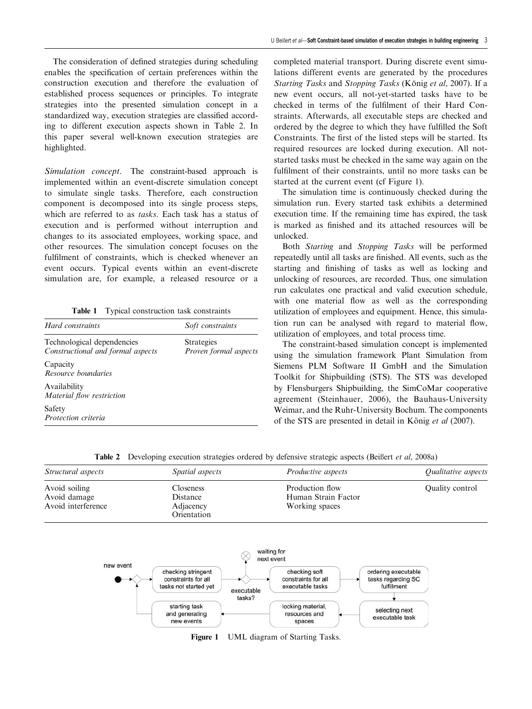The consideration of defined strategies during scheduling enables the specification of certain preferences within the construction execution and therefore the evaluation of established process sequences or principles. To integrate strategies into the presented simulation concept in a standardized way, execution strategies are classified according to different execution aspects shown in Table 2. In this paper several well-known execution strategies are highlighted.

Simulation concept. The constraint-based approach is implemented within an event-discrete simulation concept to simulate single tasks. Therefore, each construction component is decomposed into its single process steps, which are referred to as tasks. Each task has a status of execution and is performed without interruption and changes to its associated employees, working space, and other resources. The simulation concept focuses on the fulfilment of constraints, which is checked whenever an event occurs. Typical events within an event-discrete simulation are, for example, a released resource or a

Table 1 Typical construction task constraints

| Hard constraints                                                | Soft constraints                           |
|-----------------------------------------------------------------|--------------------------------------------|
| Technological dependencies<br>Constructional and formal aspects | <b>Strategies</b><br>Proven formal aspects |
| Capacity<br>Resource boundaries                                 |                                            |
| Availability<br>Material flow restriction                       |                                            |
| Safety<br>Protection criteria                                   |                                            |

completed material transport. During discrete event simulations different events are generated by the procedures Starting Tasks and Stopping Tasks (König et al, 2007). If a new event occurs, all not-yet-started tasks have to be checked in terms of the fulfilment of their Hard Constraints. Afterwards, all executable steps are checked and ordered by the degree to which they have fulfilled the Soft Constraints. The first of the listed steps will be started. Its required resources are locked during execution. All notstarted tasks must be checked in the same way again on the fulfilment of their constraints, until no more tasks can be started at the current event (cf Figure 1).

The simulation time is continuously checked during the simulation run. Every started task exhibits a determined execution time. If the remaining time has expired, the task is marked as finished and its attached resources will be unlocked.

Both Starting and Stopping Tasks will be performed repeatedly until all tasks are finished. All events, such as the starting and finishing of tasks as well as locking and unlocking of resources, are recorded. Thus, one simulation run calculates one practical and valid execution schedule, with one material flow as well as the corresponding utilization of employees and equipment. Hence, this simulation run can be analysed with regard to material flow, utilization of employees, and total process time.

The constraint-based simulation concept is implemented using the simulation framework Plant Simulation from Siemens PLM Software II GmbH and the Simulation Toolkit for Shipbuilding (STS). The STS was developed by Flensburgers Shipbuilding, the SimCoMar cooperative agreement (Steinhauer, 2006), the Bauhaus-University Weimar, and the Ruhr-University Bochum. The components of the STS are presented in detail in König et al  $(2007)$ .

|  | Table 2 Developing execution strategies ordered by defensive strategic aspects (Beißert et al. 2008a) |  |  |  |  |  |
|--|-------------------------------------------------------------------------------------------------------|--|--|--|--|--|
|--|-------------------------------------------------------------------------------------------------------|--|--|--|--|--|

| Structural aspects                                  | <i>Spatial aspects</i>                            | Productive aspects                                       | Qualitative aspects |
|-----------------------------------------------------|---------------------------------------------------|----------------------------------------------------------|---------------------|
| Avoid soiling<br>Avoid damage<br>Avoid interference | Closeness<br>Distance<br>Adjacency<br>Orientation | Production flow<br>Human Strain Factor<br>Working spaces | Quality control     |



Figure 1 UML diagram of Starting Tasks.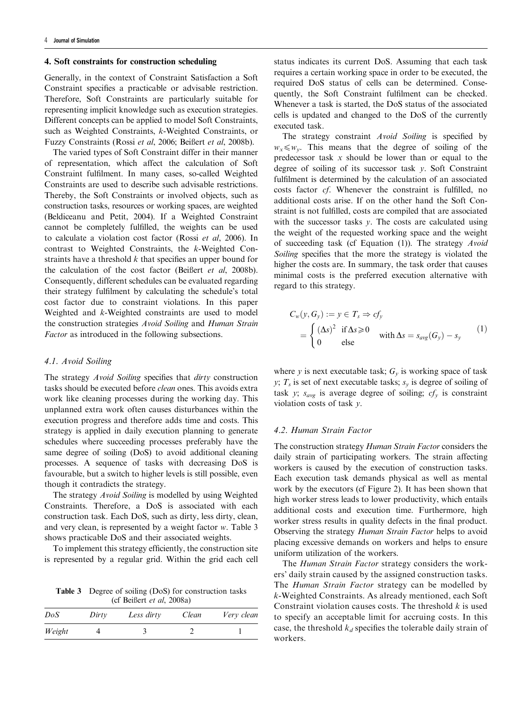#### 4. Soft constraints for construction scheduling

Generally, in the context of Constraint Satisfaction a Soft Constraint specifies a practicable or advisable restriction. Therefore, Soft Constraints are particularly suitable for representing implicit knowledge such as execution strategies. Different concepts can be applied to model Soft Constraints, such as Weighted Constraints, k-Weighted Constraints, or Fuzzy Constraints (Rossi et al, 2006; Beißert et al, 2008b).

The varied types of Soft Constraint differ in their manner of representation, which affect the calculation of Soft Constraint fulfilment. In many cases, so-called Weighted Constraints are used to describe such advisable restrictions. Thereby, the Soft Constraints or involved objects, such as construction tasks, resources or working spaces, are weighted (Beldiceanu and Petit, 2004). If a Weighted Constraint cannot be completely fulfilled, the weights can be used to calculate a violation cost factor (Rossi et al, 2006). In contrast to Weighted Constraints, the k-Weighted Constraints have a threshold  $k$  that specifies an upper bound for the calculation of the cost factor (Beißert et al, 2008b). Consequently, different schedules can be evaluated regarding their strategy fulfilment by calculating the schedule's total cost factor due to constraint violations. In this paper Weighted and k-Weighted constraints are used to model the construction strategies Avoid Soiling and Human Strain Factor as introduced in the following subsections.

# 4.1. Avoid Soiling

The strategy *Avoid Soiling* specifies that *dirty* construction tasks should be executed before clean ones. This avoids extra work like cleaning processes during the working day. This unplanned extra work often causes disturbances within the execution progress and therefore adds time and costs. This strategy is applied in daily execution planning to generate schedules where succeeding processes preferably have the same degree of soiling (DoS) to avoid additional cleaning processes. A sequence of tasks with decreasing DoS is favourable, but a switch to higher levels is still possible, even though it contradicts the strategy.

The strategy Avoid Soiling is modelled by using Weighted Constraints. Therefore, a DoS is associated with each construction task. Each DoS, such as dirty, less dirty, clean, and very clean, is represented by a weight factor w. Table 3 shows practicable DoS and their associated weights.

To implement this strategy efficiently, the construction site is represented by a regular grid. Within the grid each cell

Table 3 Degree of soiling (DoS) for construction tasks (cf Beißert et al, 2008a)

| DoS    | Dirty | Less dirty | Clean | Very clean |
|--------|-------|------------|-------|------------|
| Weight |       |            |       |            |

status indicates its current DoS. Assuming that each task requires a certain working space in order to be executed, the required DoS status of cells can be determined. Consequently, the Soft Constraint fulfilment can be checked. Whenever a task is started, the DoS status of the associated cells is updated and changed to the DoS of the currently executed task.

The strategy constraint Avoid Soiling is specified by  $w_x \leq w_y$ . This means that the degree of soiling of the predecessor task  $x$  should be lower than or equal to the degree of soiling of its successor task y. Soft Constraint fulfilment is determined by the calculation of an associated costs factor cf. Whenever the constraint is fulfilled, no additional costs arise. If on the other hand the Soft Constraint is not fulfilled, costs are compiled that are associated with the successor tasks  $v$ . The costs are calculated using the weight of the requested working space and the weight of succeeding task (cf Equation (1)). The strategy Avoid Soiling specifies that the more the strategy is violated the higher the costs are. In summary, the task order that causes minimal costs is the preferred execution alternative with regard to this strategy.

$$
C_w(y, G_y) := y \in T_s \Rightarrow cf_y
$$
  
= 
$$
\begin{cases} (\Delta s)^2 & \text{if } \Delta s \ge 0 \\ 0 & \text{else} \end{cases} \quad \text{with } \Delta s = s_{avg}(G_y) - s_y \tag{1}
$$

where y is next executable task;  $G<sub>v</sub>$  is working space of task y;  $T_s$  is set of next executable tasks;  $s_y$  is degree of soiling of task y;  $s_{avg}$  is average degree of soiling;  $cf_v$  is constraint violation costs of task y.

# 4.2. Human Strain Factor

The construction strategy Human Strain Factor considers the daily strain of participating workers. The strain affecting workers is caused by the execution of construction tasks. Each execution task demands physical as well as mental work by the executors (cf Figure 2). It has been shown that high worker stress leads to lower productivity, which entails additional costs and execution time. Furthermore, high worker stress results in quality defects in the final product. Observing the strategy Human Strain Factor helps to avoid placing excessive demands on workers and helps to ensure uniform utilization of the workers.

The Human Strain Factor strategy considers the workers' daily strain caused by the assigned construction tasks. The Human Strain Factor strategy can be modelled by k-Weighted Constraints. As already mentioned, each Soft Constraint violation causes costs. The threshold  $k$  is used to specify an acceptable limit for accruing costs. In this case, the threshold  $k_d$  specifies the tolerable daily strain of workers.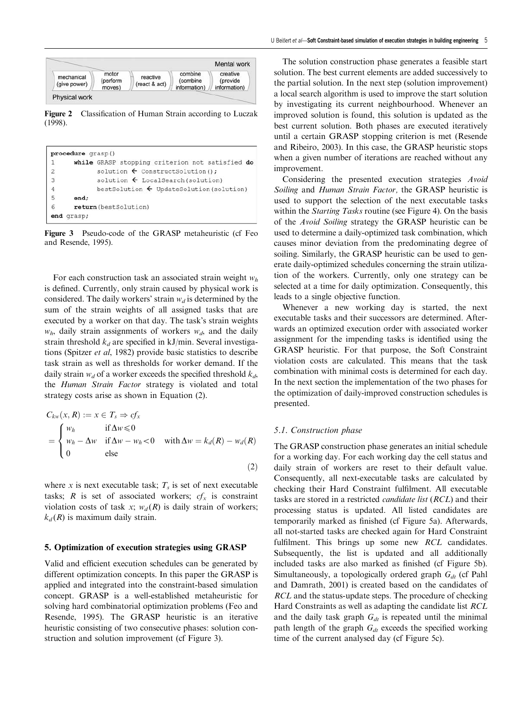

Figure 2 Classification of Human Strain according to Luczak (1998).

| $\mathbf{1}$                          |            | while GRASP stopping criterion not satisfied do     |
|---------------------------------------|------------|-----------------------------------------------------|
|                                       |            | solution $\leftarrow$ ConstructSolution();          |
| $\begin{array}{c} 2 \\ 3 \end{array}$ |            | solution $\leftarrow$ LocalSearch (solution)        |
| $\cdot$ 4                             |            | bestSolution $\leftarrow$ UpdateSolution (solution) |
| 5                                     | end;       |                                                     |
| $\epsilon$                            |            | return (bestSolution)                               |
|                                       | end grasp; |                                                     |

Figure 3 Pseudo-code of the GRASP metaheuristic (cf Feo and Resende, 1995).

For each construction task an associated strain weight  $w_h$ is defined. Currently, only strain caused by physical work is considered. The daily workers' strain  $w_d$  is determined by the sum of the strain weights of all assigned tasks that are executed by a worker on that day. The task's strain weights  $w_h$ , daily strain assignments of workers  $w_d$ , and the daily strain threshold  $k_d$  are specified in kJ/min. Several investigations (Spitzer et al, 1982) provide basic statistics to describe task strain as well as thresholds for worker demand. If the daily strain  $w_d$  of a worker exceeds the specified threshold  $k_d$ , the Human Strain Factor strategy is violated and total strategy costs arise as shown in Equation (2).

$$
C_{kw}(x, R) := x \in T_s \Rightarrow cf_x
$$
  
= 
$$
\begin{cases} w_h & \text{if } \Delta w \le 0 \\ w_h - \Delta w & \text{if } \Delta w - w_h < 0 \\ 0 & \text{else} \end{cases}
$$
 with  $\Delta w = k_d(R) - w_d(R)$  (2)

where x is next executable task;  $T_s$  is set of next executable tasks; R is set of associated workers;  $cf_x$  is constraint violation costs of task x;  $w_d(R)$  is daily strain of workers;  $k_d(R)$  is maximum daily strain.

#### 5. Optimization of execution strategies using GRASP

Valid and efficient execution schedules can be generated by different optimization concepts. In this paper the GRASP is applied and integrated into the constraint-based simulation concept. GRASP is a well-established metaheuristic for solving hard combinatorial optimization problems (Feo and Resende, 1995). The GRASP heuristic is an iterative heuristic consisting of two consecutive phases: solution construction and solution improvement (cf Figure 3).

The solution construction phase generates a feasible start solution. The best current elements are added successively to the partial solution. In the next step (solution improvement) a local search algorithm is used to improve the start solution by investigating its current neighbourhood. Whenever an improved solution is found, this solution is updated as the best current solution. Both phases are executed iteratively until a certain GRASP stopping criterion is met (Resende and Ribeiro, 2003). In this case, the GRASP heuristic stops when a given number of iterations are reached without any improvement.

Considering the presented execution strategies Avoid Soiling and Human Strain Factor, the GRASP heuristic is used to support the selection of the next executable tasks within the Starting Tasks routine (see Figure 4). On the basis of the Avoid Soiling strategy the GRASP heuristic can be used to determine a daily-optimized task combination, which causes minor deviation from the predominating degree of soiling. Similarly, the GRASP heuristic can be used to generate daily-optimized schedules concerning the strain utilization of the workers. Currently, only one strategy can be selected at a time for daily optimization. Consequently, this leads to a single objective function.

Whenever a new working day is started, the next executable tasks and their successors are determined. Afterwards an optimized execution order with associated worker assignment for the impending tasks is identified using the GRASP heuristic. For that purpose, the Soft Constraint violation costs are calculated. This means that the task combination with minimal costs is determined for each day. In the next section the implementation of the two phases for the optimization of daily-improved construction schedules is presented.

#### 5.1. Construction phase

The GRASP construction phase generates an initial schedule for a working day. For each working day the cell status and daily strain of workers are reset to their default value. Consequently, all next-executable tasks are calculated by checking their Hard Constraint fulfilment. All executable tasks are stored in a restricted candidate list (RCL) and their processing status is updated. All listed candidates are temporarily marked as finished (cf Figure 5a). Afterwards, all not-started tasks are checked again for Hard Constraint fulfilment. This brings up some new RCL candidates. Subsequently, the list is updated and all additionally included tasks are also marked as finished (cf Figure 5b). Simultaneously, a topologically ordered graph  $G_{dt}$  (cf Pahl and Damrath, 2001) is created based on the candidates of RCL and the status-update steps. The procedure of checking Hard Constraints as well as adapting the candidate list RCL and the daily task graph  $G_{dt}$  is repeated until the minimal path length of the graph  $G_{dt}$  exceeds the specified working time of the current analysed day (cf Figure 5c).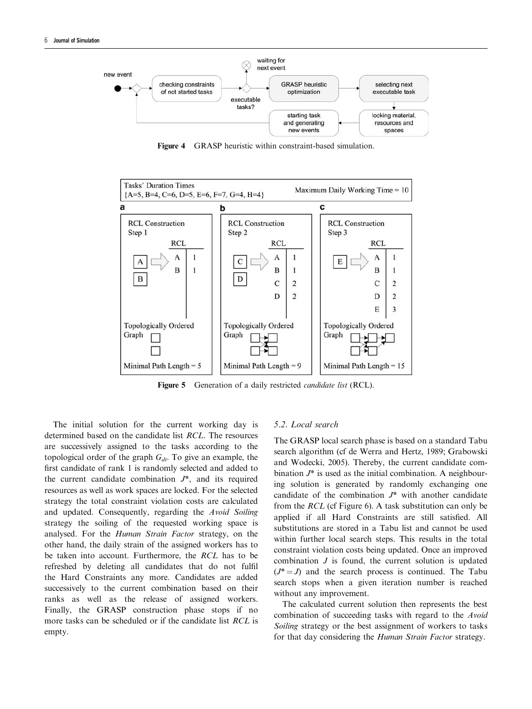

Figure 4 GRASP heuristic within constraint-based simulation.



Figure 5 Generation of a daily restricted *candidate list* (RCL).

The initial solution for the current working day is determined based on the candidate list RCL. The resources are successively assigned to the tasks according to the topological order of the graph  $G_{dt}$ . To give an example, the first candidate of rank 1 is randomly selected and added to the current candidate combination  $J^*$ , and its required resources as well as work spaces are locked. For the selected strategy the total constraint violation costs are calculated and updated. Consequently, regarding the Avoid Soiling strategy the soiling of the requested working space is analysed. For the Human Strain Factor strategy, on the other hand, the daily strain of the assigned workers has to be taken into account. Furthermore, the RCL has to be refreshed by deleting all candidates that do not fulfil the Hard Constraints any more. Candidates are added successively to the current combination based on their ranks as well as the release of assigned workers. Finally, the GRASP construction phase stops if no more tasks can be scheduled or if the candidate list RCL is empty.

#### 5.2. Local search

The GRASP local search phase is based on a standard Tabu search algorithm (cf de Werra and Hertz, 1989; Grabowski and Wodecki, 2005). Thereby, the current candidate combination  $J^*$  is used as the initial combination. A neighbouring solution is generated by randomly exchanging one candidate of the combination  $J^*$  with another candidate from the RCL (cf Figure 6). A task substitution can only be applied if all Hard Constraints are still satisfied. All substitutions are stored in a Tabu list and cannot be used within further local search steps. This results in the total constraint violation costs being updated. Once an improved combination  $J$  is found, the current solution is updated  $(J^* = J)$  and the search process is continued. The Tabu search stops when a given iteration number is reached without any improvement.

The calculated current solution then represents the best combination of succeeding tasks with regard to the Avoid Soiling strategy or the best assignment of workers to tasks for that day considering the Human Strain Factor strategy.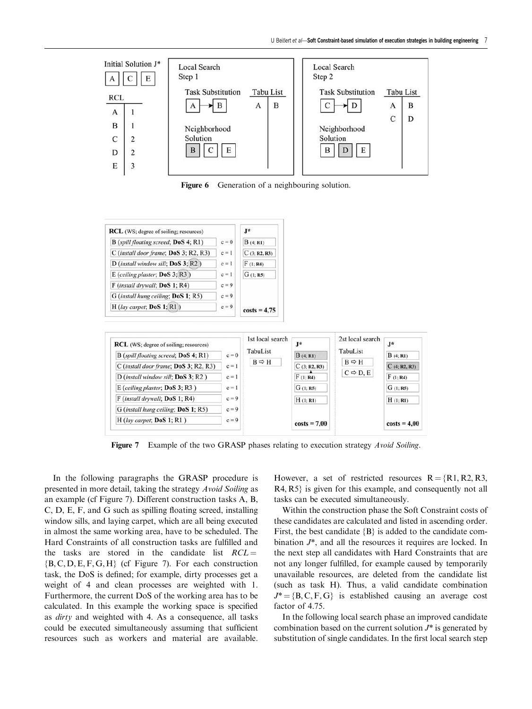

Figure 6 Generation of a neighbouring solution.





Figure 7 Example of the two GRASP phases relating to execution strategy Avoid Soiling.

In the following paragraphs the GRASP procedure is presented in more detail, taking the strategy Avoid Soiling as an example (cf Figure 7). Different construction tasks A, B, C, D, E, F, and G such as spilling floating screed, installing window sills, and laying carpet, which are all being executed in almost the same working area, have to be scheduled. The Hard Constraints of all construction tasks are fulfilled and the tasks are stored in the candidate list  $RCL =$  ${B, C, D, E, F, G, H}$  (cf Figure 7). For each construction task, the DoS is defined; for example, dirty processes get a weight of 4 and clean processes are weighted with 1. Furthermore, the current DoS of the working area has to be calculated. In this example the working space is specified as dirty and weighted with 4. As a consequence, all tasks could be executed simultaneously assuming that sufficient resources such as workers and material are available. However, a set of restricted resources  $R = \{R1, R2, R3, \ldots\}$ R4, R5} is given for this example, and consequently not all tasks can be executed simultaneously.

Within the construction phase the Soft Constraint costs of these candidates are calculated and listed in ascending order. First, the best candidate {B} is added to the candidate combination  $J^*$ , and all the resources it requires are locked. In the next step all candidates with Hard Constraints that are not any longer fulfilled, for example caused by temporarily unavailable resources, are deleted from the candidate list (such as task H). Thus, a valid candidate combination  $J^* = {B, C, F, G}$  is established causing an average cost factor of 4.75.

In the following local search phase an improved candidate combination based on the current solution  $J^*$  is generated by substitution of single candidates. In the first local search step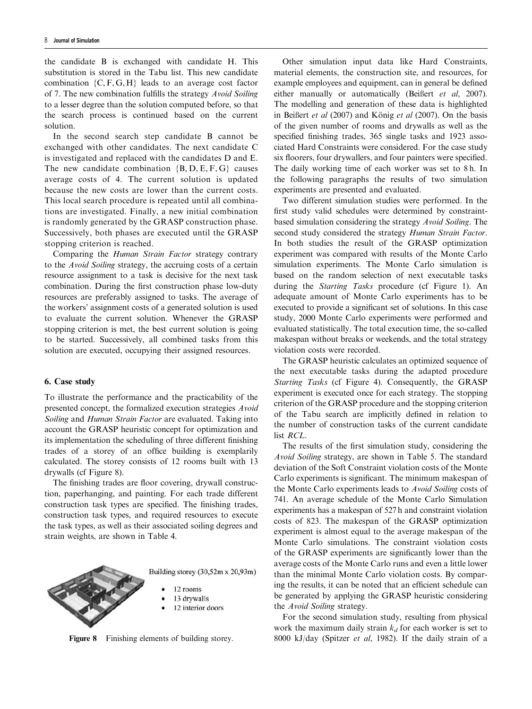the candidate B is exchanged with candidate H. This substitution is stored in the Tabu list. This new candidate combination  ${C, F, G, H}$  leads to an average cost factor of 7. The new combination fulfills the strategy Avoid Soiling to a lesser degree than the solution computed before, so that the search process is continued based on the current solution.

In the second search step candidate B cannot be exchanged with other candidates. The next candidate C is investigated and replaced with the candidates D and E. The new candidate combination  ${B, D, E, F, G}$  causes average costs of 4. The current solution is updated because the new costs are lower than the current costs. This local search procedure is repeated until all combinations are investigated. Finally, a new initial combination is randomly generated by the GRASP construction phase. Successively, both phases are executed until the GRASP stopping criterion is reached.

Comparing the *Human Strain Factor* strategy contrary to the Avoid Soiling strategy, the accruing costs of a certain resource assignment to a task is decisive for the next task combination. During the first construction phase low-duty resources are preferably assigned to tasks. The average of the workers' assignment costs of a generated solution is used to evaluate the current solution. Whenever the GRASP stopping criterion is met, the best current solution is going to be started. Successively, all combined tasks from this solution are executed, occupying their assigned resources.

#### 6. Case study

To illustrate the performance and the practicability of the presented concept, the formalized execution strategies Avoid Soiling and Human Strain Factor are evaluated. Taking into account the GRASP heuristic concept for optimization and its implementation the scheduling of three different finishing trades of a storey of an office building is exemplarily calculated. The storey consists of 12 rooms built with 13 drywalls (cf Figure 8).

The finishing trades are floor covering, drywall construction, paperhanging, and painting. For each trade different construction task types are specified. The finishing trades, construction task types, and required resources to execute the task types, as well as their associated soiling degrees and strain weights, are shown in Table 4.



Other simulation input data like Hard Constraints, material elements, the construction site, and resources, for example employees and equipment, can in general be defined either manually or automatically (Beißert et al, 2007). The modelling and generation of these data is highlighted in Beißert et al (2007) and König et al (2007). On the basis of the given number of rooms and drywalls as well as the specified finishing trades, 365 single tasks and 1923 associated Hard Constraints were considered. For the case study six floorers, four drywallers, and four painters were specified. The daily working time of each worker was set to 8 h. In the following paragraphs the results of two simulation experiments are presented and evaluated.

Two different simulation studies were performed. In the first study valid schedules were determined by constraintbased simulation considering the strategy Avoid Soiling. The second study considered the strategy Human Strain Factor. In both studies the result of the GRASP optimization experiment was compared with results of the Monte Carlo simulation experiments. The Monte Carlo simulation is based on the random selection of next executable tasks during the Starting Tasks procedure (cf Figure 1). An adequate amount of Monte Carlo experiments has to be executed to provide a significant set of solutions. In this case study, 2000 Monte Carlo experiments were performed and evaluated statistically. The total execution time, the so-called makespan without breaks or weekends, and the total strategy violation costs were recorded.

The GRASP heuristic calculates an optimized sequence of the next executable tasks during the adapted procedure Starting Tasks (cf Figure 4). Consequently, the GRASP experiment is executed once for each strategy. The stopping criterion of the GRASP procedure and the stopping criterion of the Tabu search are implicitly defined in relation to the number of construction tasks of the current candidate list RCL.

The results of the first simulation study, considering the Avoid Soiling strategy, are shown in Table 5. The standard deviation of the Soft Constraint violation costs of the Monte Carlo experiments is significant. The minimum makespan of the Monte Carlo experiments leads to Avoid Soiling costs of 741. An average schedule of the Monte Carlo Simulation experiments has a makespan of 527 h and constraint violation costs of 823. The makespan of the GRASP optimization experiment is almost equal to the average makespan of the Monte Carlo simulations. The constraint violation costs of the GRASP experiments are significantly lower than the average costs of the Monte Carlo runs and even a little lower than the minimal Monte Carlo violation costs. By comparing the results, it can be noted that an efficient schedule can be generated by applying the GRASP heuristic considering the Avoid Soiling strategy.

For the second simulation study, resulting from physical work the maximum daily strain  $k_d$  for each worker is set to Figure 8 Finishing elements of building storey. 8000 kJ/day (Spitzer et al, 1982). If the daily strain of a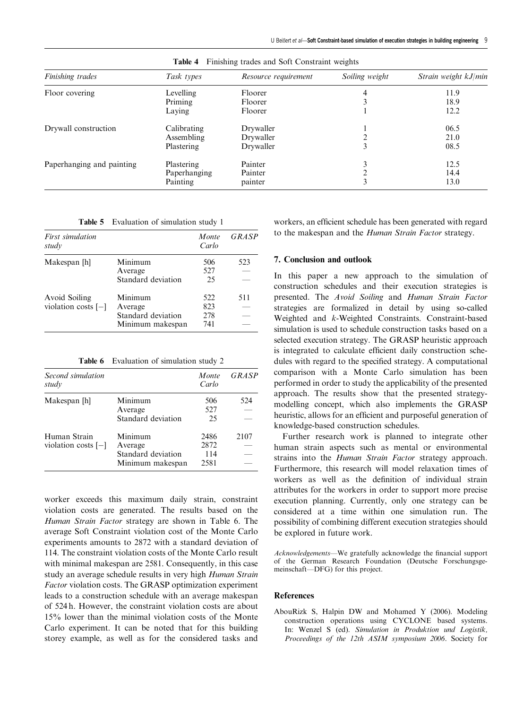| Finishing trades          | Task types        | Resource requirement | Soiling weight | Strain weight kJ/min |
|---------------------------|-------------------|----------------------|----------------|----------------------|
| Floor covering            | Levelling         | Floorer              | 4              | 11.9                 |
|                           | Priming           | Floorer              | 3              | 18.9                 |
|                           | Laying            | Floorer              |                | 12.2                 |
| Drywall construction      | Calibrating       | Drywaller            |                | 06.5                 |
|                           | Assembling        | Drywaller            |                | 21.0                 |
|                           | <b>Plastering</b> | Drywaller            | 3              | 08.5                 |
| Paperhanging and painting | Plastering        | Painter              | 3              | 12.5                 |
|                           | Paperhanging      | Painter              | ∍              | 14.4                 |
|                           | Painting          | painter              | 3              | 13.0                 |

Table 4 Finishing trades and Soft Constraint weights

Table 5 Evaluation of simulation study 1

| First simulation<br>study |                    | Monte<br>Carlo | GRASP |
|---------------------------|--------------------|----------------|-------|
| Makespan [h]              | Minimum            | 506            | 523   |
|                           | Average            | 527            |       |
|                           | Standard deviation | 25             |       |
| Avoid Soiling             | Minimum            | 522            | 511   |
| violation costs $[-]$     | Average            | 823            |       |
|                           | Standard deviation | 278            |       |
|                           | Minimum makespan   | 741            |       |

Table 6 Evaluation of simulation study 2

| Second simulation<br>study |                    | Monte<br>Carlo | GRASP |
|----------------------------|--------------------|----------------|-------|
| Makespan [h]               | Minimum            | 506            | 524   |
|                            | Average            | 527            |       |
|                            | Standard deviation | 25             |       |
| Human Strain               | Minimum            | 2486           | 2107  |
| violation costs $[-]$      | Average            | 2872           |       |
|                            | Standard deviation | 114            |       |
|                            | Minimum makespan   | 2581           |       |

worker exceeds this maximum daily strain, constraint violation costs are generated. The results based on the Human Strain Factor strategy are shown in Table 6. The average Soft Constraint violation cost of the Monte Carlo experiments amounts to 2872 with a standard deviation of 114. The constraint violation costs of the Monte Carlo result with minimal makespan are 2581. Consequently, in this case study an average schedule results in very high Human Strain Factor violation costs. The GRASP optimization experiment leads to a construction schedule with an average makespan of 524 h. However, the constraint violation costs are about 15% lower than the minimal violation costs of the Monte Carlo experiment. It can be noted that for this building storey example, as well as for the considered tasks and workers, an efficient schedule has been generated with regard to the makespan and the Human Strain Factor strategy.

#### 7. Conclusion and outlook

In this paper a new approach to the simulation of construction schedules and their execution strategies is presented. The Avoid Soiling and Human Strain Factor strategies are formalized in detail by using so-called Weighted and *k*-Weighted Constraints. Constraint-based simulation is used to schedule construction tasks based on a selected execution strategy. The GRASP heuristic approach is integrated to calculate efficient daily construction schedules with regard to the specified strategy. A computational comparison with a Monte Carlo simulation has been performed in order to study the applicability of the presented approach. The results show that the presented strategymodelling concept, which also implements the GRASP heuristic, allows for an efficient and purposeful generation of knowledge-based construction schedules.

Further research work is planned to integrate other human strain aspects such as mental or environmental strains into the *Human Strain Factor* strategy approach. Furthermore, this research will model relaxation times of workers as well as the definition of individual strain attributes for the workers in order to support more precise execution planning. Currently, only one strategy can be considered at a time within one simulation run. The possibility of combining different execution strategies should be explored in future work.

Acknowledgements—We gratefully acknowledge the financial support of the German Research Foundation (Deutsche Forschungsgemeinschaft—DFG) for this project.

## References

AbouRizk S, Halpin DW and Mohamed Y (2006). Modeling construction operations using CYCLONE based systems. In: Wenzel S (ed). Simulation in Produktion und Logistik, Proceedings of the 12th ASIM symposium 2006. Society for